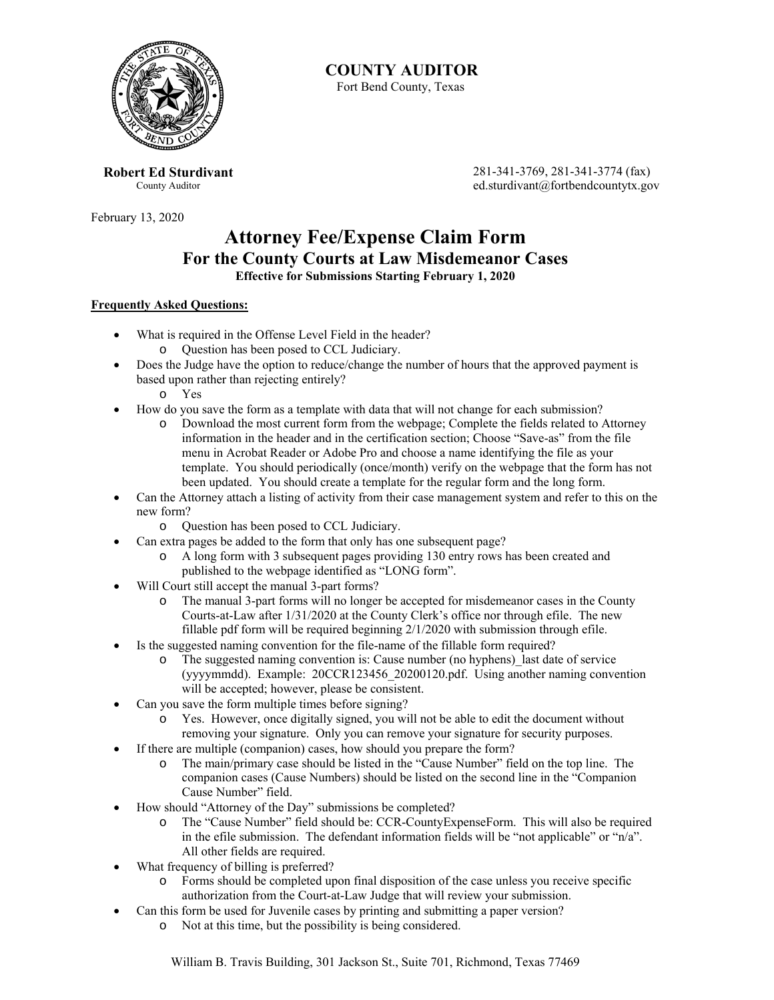

# **COUNTY AUDITOR**

Fort Bend County, Texas

**Robert Ed Sturdivant**  County Auditor

February 13, 2020

 281-341-3769, 281-341-3774 (fax) ed.sturdivant@fortbendcountytx.gov

## **Attorney Fee/Expense Claim Form For the County Courts at Law Misdemeanor Cases Effective for Submissions Starting February 1, 2020**

#### **Frequently Asked Questions:**

- What is required in the Offense Level Field in the header? o Question has been posed to CCL Judiciary.
- Does the Judge have the option to reduce/change the number of hours that the approved payment is based upon rather than rejecting entirely?
	- o Yes
- How do you save the form as a template with data that will not change for each submission?
	- o Download the most current form from the webpage; Complete the fields related to Attorney information in the header and in the certification section; Choose "Save-as" from the file menu in Acrobat Reader or Adobe Pro and choose a name identifying the file as your template. You should periodically (once/month) verify on the webpage that the form has not been updated. You should create a template for the regular form and the long form.
- Can the Attorney attach a listing of activity from their case management system and refer to this on the new form?
	- o Question has been posed to CCL Judiciary.
- Can extra pages be added to the form that only has one subsequent page?
	- o A long form with 3 subsequent pages providing 130 entry rows has been created and published to the webpage identified as "LONG form".
- Will Court still accept the manual 3-part forms?
	- o The manual 3-part forms will no longer be accepted for misdemeanor cases in the County Courts-at-Law after 1/31/2020 at the County Clerk's office nor through efile. The new fillable pdf form will be required beginning 2/1/2020 with submission through efile.
- Is the suggested naming convention for the file-name of the fillable form required?
	- o The suggested naming convention is: Cause number (no hyphens)\_last date of service (yyyymmdd). Example: 20CCR123456\_20200120.pdf. Using another naming convention will be accepted; however, please be consistent.
	- Can you save the form multiple times before signing?
		- o Yes. However, once digitally signed, you will not be able to edit the document without removing your signature. Only you can remove your signature for security purposes.
- If there are multiple (companion) cases, how should you prepare the form?
	- o The main/primary case should be listed in the "Cause Number" field on the top line. The companion cases (Cause Numbers) should be listed on the second line in the "Companion Cause Number" field.
- How should "Attorney of the Day" submissions be completed?
	- o The "Cause Number" field should be: CCR-CountyExpenseForm. This will also be required in the efile submission. The defendant information fields will be "not applicable" or " $n/a$ ". All other fields are required.
- What frequency of billing is preferred?
	- o Forms should be completed upon final disposition of the case unless you receive specific authorization from the Court-at-Law Judge that will review your submission.
- Can this form be used for Juvenile cases by printing and submitting a paper version?
	- o Not at this time, but the possibility is being considered.